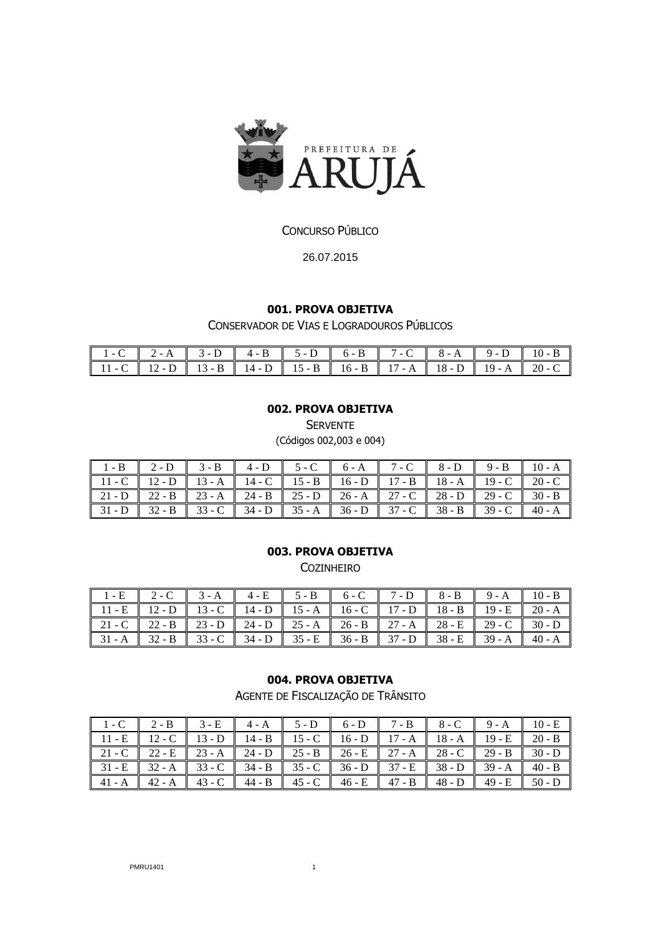

## CONCURSO PÚBLICO

26.07.2015

### **001. PROVA OBJETIVA**

CONSERVADOR DE VIAS E LOGRADOUROS PÚBLICOS

| $1-C$ $2-A$ $3-D$ $4-B$ $5-D$ $6-B$ $7-C$ $8-A$ $9-D$ $10-B$            |  |  |  |  |
|-------------------------------------------------------------------------|--|--|--|--|
| $11 - C$ 12 - D 13 - B 14 - D 15 - B 16 - B 17 - A 18 - D 19 - A 20 - C |  |  |  |  |

## **002. PROVA OBJETIVA**

**SERVENTE** 

(Códigos 002,003 e 004)

| $1-B$ 2-D 3-B 4-D 5-C 6-A 7-C 8-D 9-B 10-A                                                                                                                                                                |  |  |  |  |  |
|-----------------------------------------------------------------------------------------------------------------------------------------------------------------------------------------------------------|--|--|--|--|--|
| 11 - C   12 - D   13 - A   14 - C   15 - B   16 - D   17 - B   18 - A   19 - C   20 - C                                                                                                                   |  |  |  |  |  |
|                                                                                                                                                                                                           |  |  |  |  |  |
| $\parallel$ 31 - D $\parallel$ 32 - B $\parallel$ 33 - C $\parallel$ 34 - D $\parallel$ 35 - A $\parallel$ 36 - D $\parallel$ 37 - C $\parallel$ 38 - B $\parallel$ 39 - C $\parallel$ 40 - A $\parallel$ |  |  |  |  |  |

#### **003. PROVA OBJETIVA**

COZINHEIRO

| $1-E$ 2-C 3-A 4-E 5-B 6-C 7-D 8-B 9-A 10-B                              |  |  |                                                                                         |  |  |
|-------------------------------------------------------------------------|--|--|-----------------------------------------------------------------------------------------|--|--|
| 11 - E 12 - D 13 - C 14 - D 15 - A 16 - C 17 - D 18 - B 19 - E 20 - A   |  |  |                                                                                         |  |  |
|                                                                         |  |  | 21 - C   22 - B   23 - D   24 - D   25 - A   26 - B   27 - A   28 - E   29 - C   30 - D |  |  |
| $31 - A$ 32 - B 33 - C 34 - D 35 - E 36 - B 37 - D 38 - E 39 - A 40 - A |  |  |                                                                                         |  |  |

#### **004. PROVA OBJETIVA**

AGENTE DE FISCALIZAÇÃO DE TRÂNSITO

| 1 - C $\vert$ 2 - B $\vert$ 3 - E $\vert$ 4 - A $\vert$ 5 - D $\vert$ 6 - D $\vert$ 7 - B $\vert$ 8 - C $\vert$ 9 - A $\vert$ 10 - E |  |  |  |  |
|--------------------------------------------------------------------------------------------------------------------------------------|--|--|--|--|
| 11 - E 12 - C 13 - D 14 - B 15 - C 16 - D 17 - A 18 - A 19 - E 20 - B                                                                |  |  |  |  |
| 21 - C 22 - E 23 - A 24 - D 25 - B 26 - E 27 - A 28 - C 29 - B 30 - D                                                                |  |  |  |  |
| $31 - E$ 32 - A 33 - C 34 - B 35 - C 36 - D 37 - E 38 - D 39 - A 40 - B                                                              |  |  |  |  |
|                                                                                                                                      |  |  |  |  |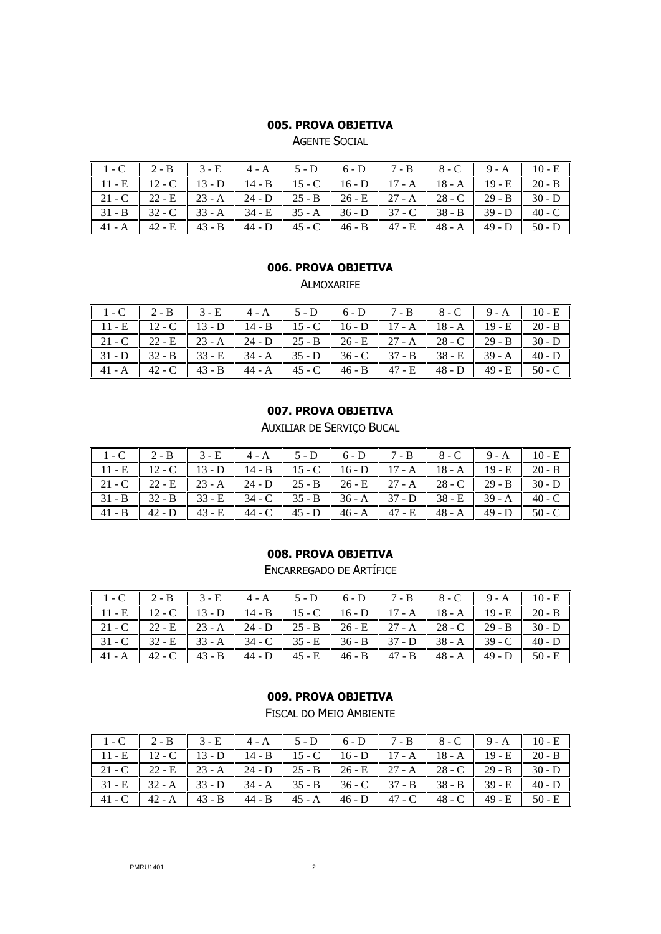AGENTE SOCIAL

| $1-C$ $2-\overline{B}$ $3-\overline{E}$ $4-A$ $5-D$ $6-D$ $7-B$ $8-C$ $9-A$ $10-E$ |  |  |  |  |
|------------------------------------------------------------------------------------|--|--|--|--|
| 11 - E 12 - C 13 - D 14 - B 15 - C 16 - D 17 - A 18 - A 19 - E 20 - B              |  |  |  |  |
| $21 - C$ 22 - E 23 - A 24 - D 25 - B 26 - E 27 - A 28 - C 29 - B 30 - D            |  |  |  |  |
| $31 - B$ 32 - C 33 - A 34 - E 35 - A 36 - D 37 - C 38 - B 39 - D 40 - C            |  |  |  |  |
|                                                                                    |  |  |  |  |

#### **006. PROVA OBJETIVA**

ALMOXARIFE

| $1-C$ 2-B 3-E 4-A 5-D 6-D 7-B 8-C 9-A 10-E                                                                                                                                                    |  |  |  |  |  |
|-----------------------------------------------------------------------------------------------------------------------------------------------------------------------------------------------|--|--|--|--|--|
| $11 - E$ 12 - C 13 - D 14 - B 15 - C 16 - D 17 - A 18 - A 19 - E 20 - B                                                                                                                       |  |  |  |  |  |
| 21 - C   22 - E   23 - A   24 - D   25 - B   26 - E   27 - A   28 - C   29 - B   30 - D                                                                                                       |  |  |  |  |  |
| $\parallel$ 31 - D $\parallel$ 32 - B $\parallel$ 33 - E $\parallel$ 34 - A $\parallel$ 35 - D $\parallel$ 36 - C $\parallel$ 37 - B $\parallel$ 38 - E $\parallel$ 39 - A $\parallel$ 40 - D |  |  |  |  |  |
| $\parallel$ 41 - A $\parallel$ 42 - C $\parallel$ 43 - B $\parallel$ 44 - A $\parallel$ 45 - C $\parallel$ 46 - B $\parallel$ 47 - E $\parallel$ 48 - D $\parallel$ 49 - E $\parallel$ 50 - C |  |  |  |  |  |

### **007. PROVA OBJETIVA**

AUXILIAR DE SERVIÇO BUCAL

| $1-C$ 2-B                                                                                                                                                                                     | $3-E$ |  | $4-A$ 5-D 6-D 7-B 8-C 9-A 10-E |  |  |
|-----------------------------------------------------------------------------------------------------------------------------------------------------------------------------------------------|-------|--|--------------------------------|--|--|
| 11 - E   12 - C   13 - D   14 - B   15 - C   16 - D   17 - A   18 - A   19 - E   20 - B                                                                                                       |       |  |                                |  |  |
| 21 - C   22 - E   23 - A   24 - D   25 - B   26 - E   27 - A   28 - C   29 - B   30 - D                                                                                                       |       |  |                                |  |  |
| $31 - B$ 32 - B 33 - E 34 - C 35 - B 36 - A 37 - D 38 - E 39 - A 40 - C                                                                                                                       |       |  |                                |  |  |
| $\parallel$ 41 - B $\parallel$ 42 - D $\parallel$ 43 - E $\parallel$ 44 - C $\parallel$ 45 - D $\parallel$ 46 - A $\parallel$ 47 - E $\parallel$ 48 - A $\parallel$ 49 - D $\parallel$ 50 - C |       |  |                                |  |  |

# **008. PROVA OBJETIVA**

ENCARREGADO DE ARTÍFICE

| $1-C$ 2-B 3-E 4-A 5-D 6-D 7-B 8-C 9-A 10-E                              |  |  |  |  |
|-------------------------------------------------------------------------|--|--|--|--|
| 11 - E 12 - C 13 - D 14 - B 15 - C 16 - D 17 - A 18 - A 19 - E 20 - B   |  |  |  |  |
| $21 - C$ 22 - E 23 - A 24 - D 25 - B 26 - E 27 - A 28 - C 29 - B 30 - D |  |  |  |  |
| $31 - C$ 32 - E 33 - A 34 - C 35 - E 36 - B 37 - D 38 - A 39 - C 40 - D |  |  |  |  |
|                                                                         |  |  |  |  |

### **009. PROVA OBJETIVA**

FISCAL DO MEIO AMBIENTE

| $1-C$ 2-B 3-E 4-A 5-D 6-D 7-B 8-C 9-A 10-E                                              |  |  |  |                                                                          |
|-----------------------------------------------------------------------------------------|--|--|--|--------------------------------------------------------------------------|
| 11 - E   12 - C   13 - D   14 - B   15 - C   16 - D   17 - A   18 - A   19 - E   20 - B |  |  |  |                                                                          |
| $21 - C$ 22 - E 23 - A 24 - D 25 - B 26 - E 27 - A 28 - C 29 - B 30 - D                 |  |  |  |                                                                          |
| $31 - E$ 32 - A 33 - D 34 - A 35 - B 36 - C 37 - B 38 - B 39 - E 40 - D                 |  |  |  |                                                                          |
|                                                                                         |  |  |  | $141 - C$ 42 - A 43 - B 44 - B 45 - A 46 - D 47 - C 48 - C 49 - E 50 - E |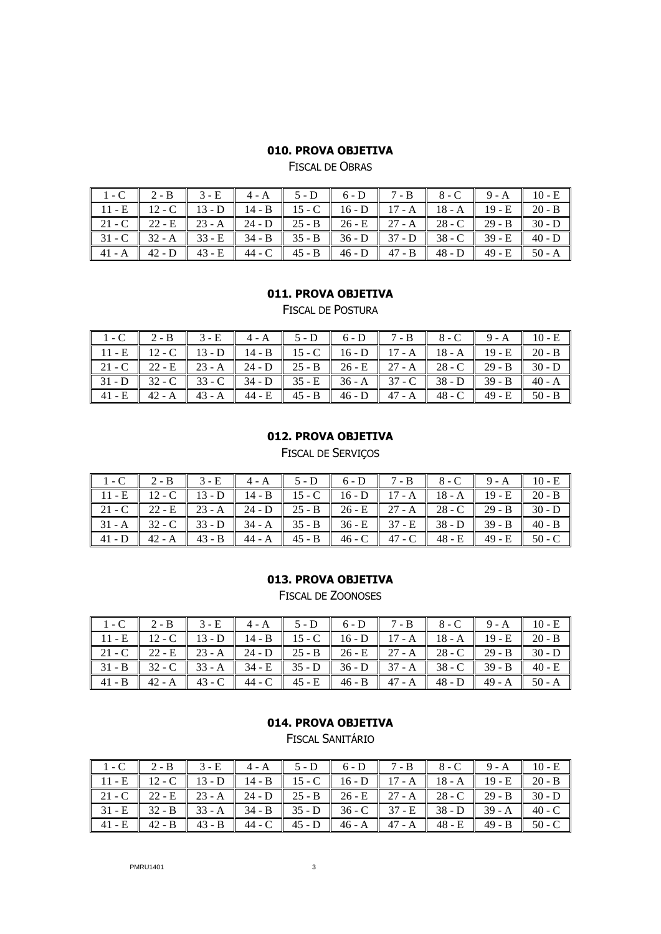FISCAL DE OBRAS

|                                                                                                                                                                                               | $1-C$ 2-B 3-E 4-A 5-D 6-D 7-B 8-C 9-A 10-E                                                       |  |  |  |  |
|-----------------------------------------------------------------------------------------------------------------------------------------------------------------------------------------------|--------------------------------------------------------------------------------------------------|--|--|--|--|
|                                                                                                                                                                                               | 11 - E    12 - C    13 - D    14 - B    15 - C    16 - D    17 - A    18 - A    19 - E    20 - B |  |  |  |  |
|                                                                                                                                                                                               |                                                                                                  |  |  |  |  |
|                                                                                                                                                                                               | $31 - C$ 32 - A 33 - E 34 - B 35 - B 36 - D 37 - D 38 - C 39 - E 40 - D                          |  |  |  |  |
| $\parallel$ 41 - A $\parallel$ 42 - D $\parallel$ 43 - E $\parallel$ 44 - C $\parallel$ 45 - B $\parallel$ 46 - D $\parallel$ 47 - B $\parallel$ 48 - D $\parallel$ 49 - E $\parallel$ 50 - A |                                                                                                  |  |  |  |  |

#### **011. PROVA OBJETIVA**

FISCAL DE POSTURA

| $1-C$ 2-B 3-E 4-A 5-D 6-D 7-B 8-C 9-A 10-E                                              |                                                                         |  |  |  |  |
|-----------------------------------------------------------------------------------------|-------------------------------------------------------------------------|--|--|--|--|
| 11 - E   12 - C   13 - D   14 - B   15 - C   16 - D   17 - A   18 - A   19 - E   20 - B |                                                                         |  |  |  |  |
|                                                                                         | $21 - C$ 22 - E 23 - A 24 - D 25 - B 26 - E 27 - A 28 - C 29 - B 30 - D |  |  |  |  |
| $31-D$ 32 - C 33 - C 34 - D 35 - E 36 - A 37 - C 38 - D 39 - B 40 - A                   |                                                                         |  |  |  |  |
|                                                                                         |                                                                         |  |  |  |  |

### **012. PROVA OBJETIVA**

FISCAL DE SERVIÇOS

|                                                                         | $1-C$ 2-B 3-E 4-A 5-D 6-D 7-B 8-C 9-A 10-E                                              |  |  |  |  |
|-------------------------------------------------------------------------|-----------------------------------------------------------------------------------------|--|--|--|--|
|                                                                         | 11 - E   12 - C   13 - D   14 - B   15 - C   16 - D   17 - A   18 - A   19 - E   20 - B |  |  |  |  |
| $21 - C$ 22 - E 23 - A 24 - D 25 - B 26 - E 27 - A 28 - C 29 - B 30 - D |                                                                                         |  |  |  |  |
|                                                                         | $31 - A$ 32 - C 33 - D 34 - A 35 - B 36 - E 37 - E 38 - D 39 - B 40 - B                 |  |  |  |  |
|                                                                         |                                                                                         |  |  |  |  |

#### **013. PROVA OBJETIVA**

FISCAL DE ZOONOSES

| $1-C$ 2-B 3-E 4-A 5-D 6-D 7-B 8-C 9-A 10-E                              |  |  |  |  |
|-------------------------------------------------------------------------|--|--|--|--|
| 11 - E 12 - C 13 - D 14 - B 15 - C 16 - D 17 - A 18 - A 19 - E 20 - B   |  |  |  |  |
| $21 - C$ 22 - E 23 - A 24 - D 25 - B 26 - E 27 - A 28 - C 29 - B 30 - D |  |  |  |  |
| $31 - B$ 32 - C 33 - A 34 - E 35 - D 36 - D 37 - A 38 - C 39 - B 40 - E |  |  |  |  |
|                                                                         |  |  |  |  |

### **014. PROVA OBJETIVA**

FISCAL SANITÁRIO

|  |  | 1 - C 2 - B 3 - E 4 - A 5 - D 6 - D 7 - B 8 - C 9 - A 10 - E                            |  |  |  |
|--|--|-----------------------------------------------------------------------------------------|--|--|--|
|  |  | 11 - E   12 - C   13 - D   14 - B   15 - C   16 - D   17 - A   18 - A   19 - E   20 - B |  |  |  |
|  |  | $21 - C$ 22 - E 23 - A 24 - D 25 - B 26 - E 27 - A 28 - C 29 - B 30 - D                 |  |  |  |
|  |  | $31 - E$ 32 - B 33 - A 34 - B 35 - D 36 - C 37 - E 38 - D 39 - A 40 - C                 |  |  |  |
|  |  | $41 - E$ 42 - B 43 - B 44 - C 45 - D 46 - A 47 - A 48 - E 49 - B 50 - C                 |  |  |  |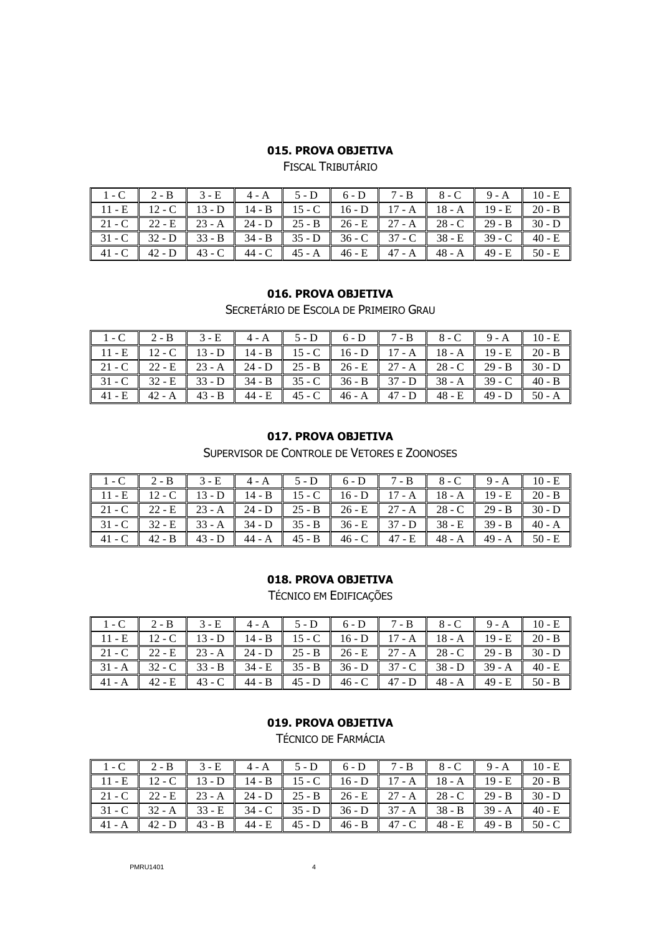FISCAL TRIBUTÁRIO

| $1-C$ 2-B 3-E 4-A 5-D 6-D 7-B 8-C 9-A 10-E                              |  |  |  |  |  |
|-------------------------------------------------------------------------|--|--|--|--|--|
| $11 - E$ 12 - C 13 - D 14 - B 15 - C 16 - D 17 - A 18 - A 19 - E 20 - B |  |  |  |  |  |
| $21-C$ 22 - E 23 - A 24 - D 25 - B 26 - E 27 - A 28 - C 29 - B 30 - D   |  |  |  |  |  |
| $31 - C$ 32 - D 33 - B 34 - B 35 - D 36 - C 37 - C 38 - E 39 - C 40 - E |  |  |  |  |  |
|                                                                         |  |  |  |  |  |

#### **016. PROVA OBJETIVA**

SECRETÁRIO DE ESCOLA DE PRIMEIRO GRAU

|  |  |  |  | $1-C$ 2-B 3-E 4-A 5-D 6-D 7-B 8-C 9-A 10-E                                                                                                                                                                |
|--|--|--|--|-----------------------------------------------------------------------------------------------------------------------------------------------------------------------------------------------------------|
|  |  |  |  | $11 - E$ 12 - C 13 - D 14 - B 15 - C 16 - D 17 - A 18 - A 19 - E 20 - B                                                                                                                                   |
|  |  |  |  | $21 - C$ 22 - E 23 - A 24 - D 25 - B 26 - E 27 - A 28 - C 29 - B 30 - D                                                                                                                                   |
|  |  |  |  | $31 - C$ $32 - E$ $33 - D$ $34 - B$ $35 - C$ $36 - B$ $37 - D$ $38 - A$ $39 - C$ $40 - B$                                                                                                                 |
|  |  |  |  | $\parallel$ 41 - E $\parallel$ 42 - A $\parallel$ 43 - B $\parallel$ 44 - E $\parallel$ 45 - C $\parallel$ 46 - A $\parallel$ 47 - D $\parallel$ 48 - E $\parallel$ 49 - D $\parallel$ 50 - A $\parallel$ |

## **017. PROVA OBJETIVA**

SUPERVISOR DE CONTROLE DE VETORES E ZOONOSES

| $1-C$ 2-B 3-E 4-A 5-D 6-D 7-B 8-C 9-A 10-E                                                                                                                                                    |  |  |  |  |
|-----------------------------------------------------------------------------------------------------------------------------------------------------------------------------------------------|--|--|--|--|
| 11 - E 12 - C 13 - D 14 - B 15 - C 16 - D 17 - A 18 - A 19 - E 20 - B                                                                                                                         |  |  |  |  |
| $21 - C$ 22 - E 23 - A 24 - D 25 - B 26 - E 27 - A 28 - C 29 - B 30 - D                                                                                                                       |  |  |  |  |
| $31 - C$ 32 - E 33 - A 34 - D 35 - B 36 - E 37 - D 38 - E 39 - B 40 - A                                                                                                                       |  |  |  |  |
| $\parallel$ 41 - C $\parallel$ 42 - B $\parallel$ 43 - D $\parallel$ 44 - A $\parallel$ 45 - B $\parallel$ 46 - C $\parallel$ 47 - E $\parallel$ 48 - A $\parallel$ 49 - A $\parallel$ 50 - E |  |  |  |  |

#### **018. PROVA OBJETIVA**

TÉCNICO EM EDIFICAÇÕES

| $1-C$ 2-B 3-E 4-A 5-D 6-D 7-B 8-C 9-A 10-E                                                       |  |  |  |  |
|--------------------------------------------------------------------------------------------------|--|--|--|--|
| 11 - E    12 - C    13 - D    14 - B    15 - C    16 - D    17 - A    18 - A    19 - E    20 - B |  |  |  |  |
| 21 - C   22 - E   23 - A   24 - D   25 - B   26 - E   27 - A   28 - C   29 - B   30 - D          |  |  |  |  |
| $31 - A$ $32 - C$ $33 - B$ $34 - E$ $35 - B$ $36 - D$ $37 - C$ $38 - D$ $39 - A$ $40 - E$        |  |  |  |  |
|                                                                                                  |  |  |  |  |

# **019. PROVA OBJETIVA**

TÉCNICO DE FARMÁCIA

|  |  |  | $1-C$ $2-B$ $3-E$ $4-A$ $5-D$ $6-D$ $7-B$ $8-C$ $9-A$ $10-E$                              |  |  |
|--|--|--|-------------------------------------------------------------------------------------------|--|--|
|  |  |  | $11 - E$ 12 - C 13 - D 14 - B 15 - C 16 - D 17 - A 18 - A 19 - E 20 - B                   |  |  |
|  |  |  | $21 - C$ 22 - E 23 - A 24 - D 25 - B 26 - E 27 - A 28 - C 29 - B 30 - D                   |  |  |
|  |  |  | $31 - C$ 32 - A 33 - E 34 - C 35 - D 36 - D 37 - A 38 - B 39 - A 40 - E                   |  |  |
|  |  |  | $41 - A$ $42 - D$ $43 - B$ $44 - E$ $45 - D$ $46 - B$ $47 - C$ $48 - E$ $49 - B$ $50 - C$ |  |  |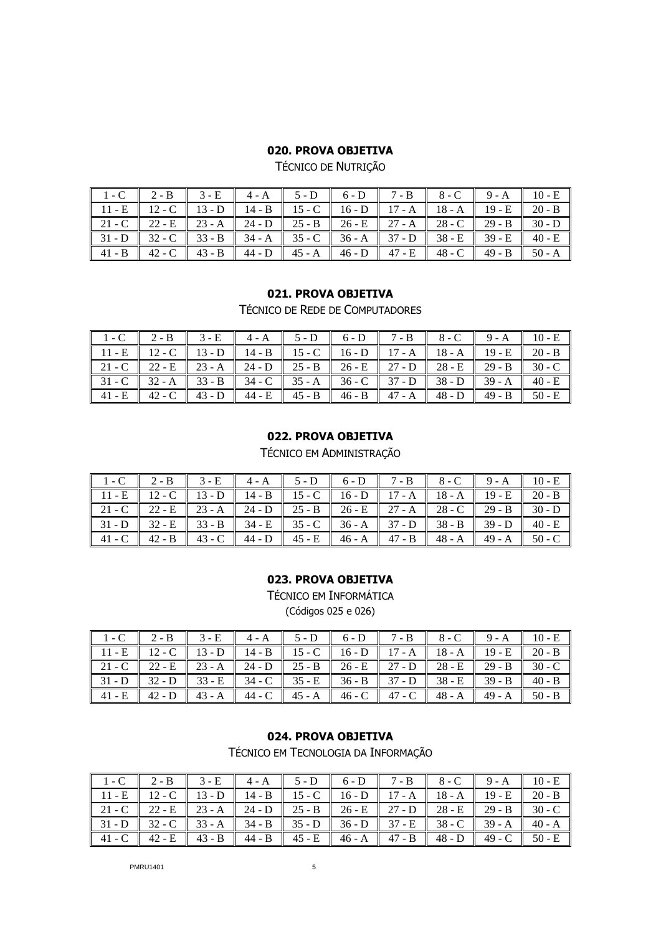TÉCNICO DE NUTRIÇÃO

| $1-C$ 2-B 3-E 4-A 5-D 6-D 7-B 8-C 9-A 10-E                                                                                                                                                                |  |  |  |  |
|-----------------------------------------------------------------------------------------------------------------------------------------------------------------------------------------------------------|--|--|--|--|
| $11 - E$ 12 - C 13 - D 14 - B 15 - C 16 - D 17 - A 18 - A 19 - E 20 - B                                                                                                                                   |  |  |  |  |
| $21 - C$ 22 - E 23 - A 24 - D 25 - B 26 - E 27 - A 28 - C 29 - B 30 - D                                                                                                                                   |  |  |  |  |
| $31-D$ 32 - C 33 - B 34 - A 35 - C 36 - A 37 - D 38 - E 39 - E 40 - E                                                                                                                                     |  |  |  |  |
| $\parallel$ 41 - B $\parallel$ 42 - C $\parallel$ 43 - B $\parallel$ 44 - D $\parallel$ 45 - A $\parallel$ 46 - D $\parallel$ 47 - E $\parallel$ 48 - C $\parallel$ 49 - B $\parallel$ 50 - A $\parallel$ |  |  |  |  |

#### **021. PROVA OBJETIVA**

TÉCNICO DE REDE DE COMPUTADORES

|  |  |  |  | $1-C$ 2-B 3-E 4-A 5-D 6-D 7-B 8-C 9-A 10-E                              |
|--|--|--|--|-------------------------------------------------------------------------|
|  |  |  |  | $11 - E$ 12 - C 13 - D 14 - B 15 - C 16 - D 17 - A 18 - A 19 - E 20 - B |
|  |  |  |  | $21 - C$ 22 - E 23 - A 24 - D 25 - B 26 - E 27 - D 28 - E 30 - C        |
|  |  |  |  | $31 - C$ 32 - A 33 - B 34 - C 35 - A 36 - C 37 - D 38 - D 39 - A 40 - E |
|  |  |  |  |                                                                         |

### **022. PROVA OBJETIVA**

TÉCNICO EM ADMINISTRAÇÃO

| $1-C$ 2-B 3-E 4-A 5-D 6-D 7-B 8-C 9-A 10-E                                              |  |  |  |  |  |
|-----------------------------------------------------------------------------------------|--|--|--|--|--|
| 11 - E   12 - C   13 - D   14 - B   15 - C   16 - D   17 - A   18 - A   19 - E   20 - B |  |  |  |  |  |
| 21 - C   22 - E   23 - A   24 - D   25 - B   26 - E   27 - A   28 - C   29 - B   30 - D |  |  |  |  |  |
| $31-D$ 32 - E 33 - B 34 - E 35 - C 36 - A 37 - D 38 - B 39 - D 40 - E                   |  |  |  |  |  |
|                                                                                         |  |  |  |  |  |

### **023. PROVA OBJETIVA**

TÉCNICO EM INFORMÁTICA (Códigos 025 e 026)

| $1-C$ 2-B 3-E 4-A 5-D 6-D 7-B 8-C 9-A 10-E                                              |  |  |  |  |
|-----------------------------------------------------------------------------------------|--|--|--|--|
| 11 - E 12 - C 13 - D 14 - B 15 - C 16 - D 17 - A 18 - A 19 - E 20 - B                   |  |  |  |  |
| $21 - C$ 22 - E 23 - A 24 - D 25 - B 26 - E 27 - D 28 - E 29 - B 30 - C                 |  |  |  |  |
|                                                                                         |  |  |  |  |
| 41 - E   42 - D   43 - A   44 - C   45 - A   46 - C   47 - C   48 - A   49 - A   50 - B |  |  |  |  |

# **024. PROVA OBJETIVA**

TÉCNICO EM TECNOLOGIA DA INFORMAÇÃO

|  |  |  |  | 1 - C   2 - B   3 - E   4 - A   5 - D   6 - D   7 - B   8 - C   9 - A   10 - E                |  |
|--|--|--|--|-----------------------------------------------------------------------------------------------|--|
|  |  |  |  | 11 - E   12 - C   13 - D    14 - B    15 - C   16 - D    17 - A    18 - A    19 - E    20 - B |  |
|  |  |  |  | 21 - C   22 - E   23 - A    24 - D    25 - B   26 - E    27 - D    28 - E    29 - B    30 - C |  |
|  |  |  |  | 31 - D 32 - C 33 - A 34 - B 35 - D 36 - D 37 - E 38 - C 39 - A 40 - A                         |  |
|  |  |  |  | 41 - C   42 - E   43 - B   44 - B   45 - E   46 - A    47 - B    48 - D   49 - C    50 - E    |  |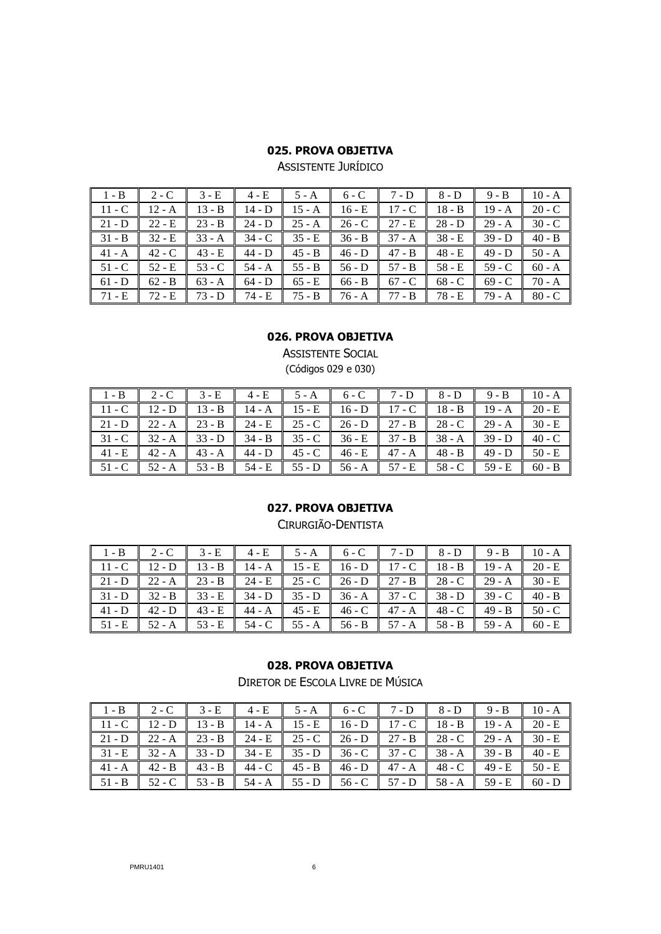ASSISTENTE JURÍDICO

| $1 - B$  | $2 - C$  | $3 - E$  | $4 - E$  | $5 - A$  | $6 - C$  | $7 - D$  | $8 - D$  | $9 - B$  | $10 - A$ |
|----------|----------|----------|----------|----------|----------|----------|----------|----------|----------|
| $11 - C$ | $12 - A$ | $13 - B$ | $14 - D$ | $15 - A$ | $16 - E$ | $17 - C$ | $18 - B$ | $19 - A$ | $20 - C$ |
| $21 - D$ | $22 - E$ | $23 - B$ | $24 - D$ | $25 - A$ | $26 - C$ | 27 - E   | $28 - D$ | $29 - A$ | $30 - C$ |
| $31 - B$ | $32 - E$ | $33 - A$ | $34 - C$ | $35 - E$ | $36 - B$ | $37 - A$ | $38 - E$ | $39 - D$ | $40 - B$ |
| $41 - A$ | $42 - C$ | $43 - E$ | $44 - D$ | $45 - B$ | $46 - D$ | $47 - B$ | $48 - E$ | $49 - D$ | $50 - A$ |
| $51 - C$ | $52 - E$ | $53 - C$ | $54 - A$ | $55 - B$ | $56 - D$ | $57 - B$ | $58 - E$ | $59 - C$ | $60 - A$ |
| $61 - D$ | $62 - B$ | $63 - A$ | $64 - D$ | 65 - E   | $66 - B$ | $67 - C$ | $68 - C$ | $69 - C$ | 70 - A   |
| 71 - E   | $72 - E$ | $73 - D$ | 74 - E   | $75 - B$ | 76 - A   | $77 - B$ | 78 - E   | $79 - A$ | $80 - C$ |

### **026. PROVA OBJETIVA**

ASSISTENTE SOCIAL (Códigos 029 e 030)

| $\parallel$ 1 - B $\parallel$ 2 - C $\parallel$ 3 - E $\parallel$ 4 - E $\parallel$ 5 - A $\parallel$ 6 - C $\parallel$ 7 - D $\parallel$ 8 - D $\parallel$ 9 - B $\parallel$ 10 - A          |                                                                                                  |  |  |  |  |
|-----------------------------------------------------------------------------------------------------------------------------------------------------------------------------------------------|--------------------------------------------------------------------------------------------------|--|--|--|--|
| $\parallel$ 11 - C $\parallel$ 12 - D $\parallel$ 13 - B $\parallel$ 14 - A $\parallel$ 15 - E $\parallel$ 16 - D $\parallel$ 17 - C $\parallel$ 18 - B $\parallel$ 19 - A $\parallel$ 20 - E |                                                                                                  |  |  |  |  |
| $\parallel$ 21 - D $\parallel$ 22 - A $\parallel$ 23 - B $\parallel$ 24 - E $\parallel$ 25 - C $\parallel$ 26 - D $\parallel$ 27 - B $\parallel$ 28 - C $\parallel$ 29 - A $\parallel$ 30 - E |                                                                                                  |  |  |  |  |
| $\parallel$ 31 - C $\parallel$ 32 - A $\parallel$ 33 - D $\parallel$ 34 - B $\parallel$ 35 - C $\parallel$ 36 - E $\parallel$ 37 - B $\parallel$ 38 - A $\parallel$ 39 - D $\parallel$ 40 - C |                                                                                                  |  |  |  |  |
|                                                                                                                                                                                               | 41 - E   42 - A   43 - A   44 - D   45 - C   46 - E   47 - A   48 - B   49 - D   50 - E          |  |  |  |  |
|                                                                                                                                                                                               | 51 - C    52 - A    53 - B    54 - E    55 - D    56 - A    57 - E    58 - C    59 - E    60 - B |  |  |  |  |

### **027. PROVA OBJETIVA**

CIRURGIÃO-DENTISTA

| $1 - B$ 2 - C                                                                             |  |  | 3 - E $\parallel$ 4 - E $\parallel$ 5 - A $\parallel$ 6 - C $\parallel$ 7 - D $\parallel$ 8 - D $\parallel$ 9 - B $\parallel$ 10 - A |  |  |
|-------------------------------------------------------------------------------------------|--|--|--------------------------------------------------------------------------------------------------------------------------------------|--|--|
| 11 - C   12 - D   13 - B   14 - A   15 - E   16 - D   17 - C   18 - B   19 - A   20 - E   |  |  |                                                                                                                                      |  |  |
| 21 - D   22 - A   23 - B   24 - E   25 - C   26 - D   27 - B   28 - C   29 - A   30 - E   |  |  |                                                                                                                                      |  |  |
|                                                                                           |  |  |                                                                                                                                      |  |  |
|                                                                                           |  |  |                                                                                                                                      |  |  |
| $51 - E$ $52 - A$ $53 - E$ $54 - C$ $55 - A$ $56 - B$ $57 - A$ $58 - B$ $59 - A$ $60 - E$ |  |  |                                                                                                                                      |  |  |

### **028. PROVA OBJETIVA**

DIRETOR DE ESCOLA LIVRE DE MÚSICA

|  |  | 1 - B   2 - C   3 - E    4 - E    5 - A    6 - C    7 - D    8 - D    9 - B    10 - A            |  |  |
|--|--|--------------------------------------------------------------------------------------------------|--|--|
|  |  | 11 - C    12 - D    13 - B    14 - A    15 - E    16 - D    17 - C    18 - B    19 - A    20 - E |  |  |
|  |  | 21 - D    22 - A    23 - B    24 - E    25 - C    26 - D    27 - B    28 - C    29 - A    30 - E |  |  |
|  |  | 31 - E 32 - A 33 - D 34 - E 35 - D 36 - C 37 - C 38 - A 39 - B 40 - E                            |  |  |
|  |  | 41 - A    42 - B    43 - B    44 - C    45 - B    46 - D    47 - A    48 - C    49 - E    50 - E |  |  |
|  |  |                                                                                                  |  |  |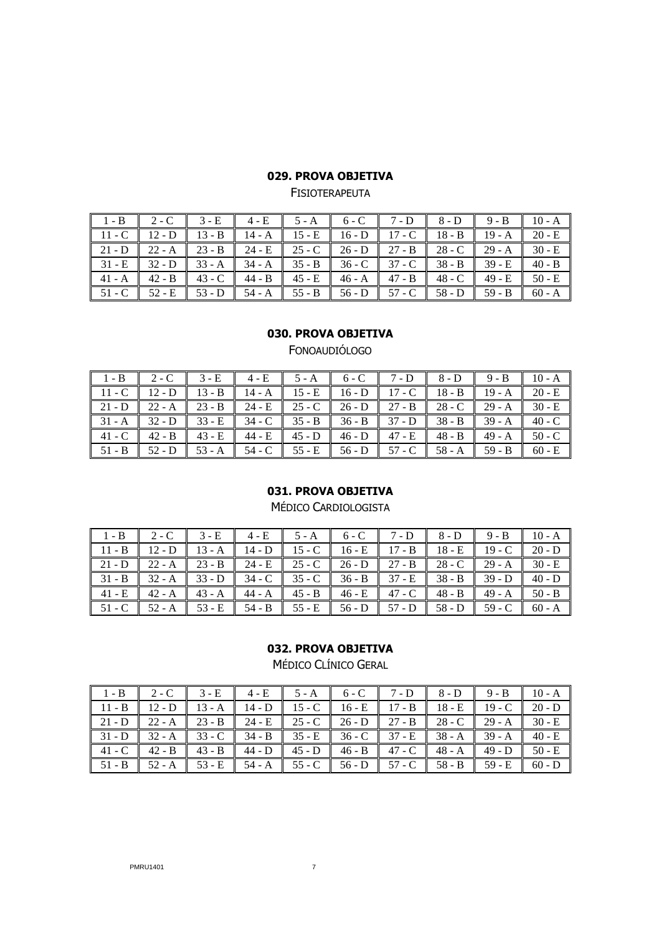| $1-B$ 2-C 3-E 4-E 5-A 6-C 7-D 8-D 9-B 10-A                                                                                                                                                    |  |  |  |  |  |
|-----------------------------------------------------------------------------------------------------------------------------------------------------------------------------------------------|--|--|--|--|--|
| $11 - C$ 12 - D 13 - B 14 - A 15 - E 16 - D 17 - C 18 - B 19 - A 20 - E                                                                                                                       |  |  |  |  |  |
|                                                                                                                                                                                               |  |  |  |  |  |
| $\parallel$ 31 - E $\parallel$ 32 - D $\parallel$ 33 - A $\parallel$ 34 - A $\parallel$ 35 - B $\parallel$ 36 - C $\parallel$ 37 - C $\parallel$ 38 - B $\parallel$ 39 - E $\parallel$ 40 - B |  |  |  |  |  |
| $\parallel$ 41 - A $\parallel$ 42 - B $\parallel$ 43 - C $\parallel$ 44 - B $\parallel$ 45 - E $\parallel$ 46 - A $\parallel$ 47 - B $\parallel$ 48 - C $\parallel$ 49 - E $\parallel$ 50 - E |  |  |  |  |  |
|                                                                                                                                                                                               |  |  |  |  |  |

**FISIOTERAPEUTA** 

#### **030. PROVA OBJETIVA**

FONOAUDIÓLOGO

| $1 - B$ 2 - C |                                                                                                                                                                                               | $3 - E$ | 4 - E  |                        |  | 5 - A $\blacksquare$ 6 - C $\blacksquare$ 7 - D $\blacksquare$ 8 - D $\blacksquare$ 9 - B $\blacksquare$ 10 - A |                        |
|---------------|-----------------------------------------------------------------------------------------------------------------------------------------------------------------------------------------------|---------|--------|------------------------|--|-----------------------------------------------------------------------------------------------------------------|------------------------|
|               | $11 - C$ 12 - D 13 - B 14 - A 15 - E 16 - D 17 - C 18 - B 19 - A 20 - E                                                                                                                       |         |        |                        |  |                                                                                                                 |                        |
|               | $\parallel$ 21 - D $\parallel$ 22 - A $\parallel$ 23 - B $\parallel$ 24 - E $\parallel$ 25 - C $\parallel$ 26 - D $\parallel$ 27 - B $\parallel$ 28 - C $\parallel$ 29 - A $\parallel$ 30 - E |         |        |                        |  |                                                                                                                 |                        |
|               | $\parallel$ 31 - A $\parallel$ 32 - D $\parallel$ 33 - E $\parallel$ 34 - C $\parallel$ 35 - B $\parallel$ 36 - B $\parallel$ 37 - D $\parallel$ 38 - B $\parallel$ 39 - A $\parallel$ 40 - C |         |        |                        |  |                                                                                                                 |                        |
|               | $\parallel$ 41 - C $\parallel$ 42 - B $\parallel$ 43 - E $\parallel$ 44 - E $\parallel$ 45 - D $\parallel$ 46 - D $\parallel$ 47 - E $\parallel$ 48 - B $\parallel$ 49 - A $\parallel$ 50 - C |         |        |                        |  |                                                                                                                 |                        |
|               | $\parallel$ 51 - B $\parallel$ 52 - D $\parallel$ 53 - A $\parallel$                                                                                                                          |         | 54 - C | $55 - E$ 56 - D 57 - C |  |                                                                                                                 | $58 - A$ 59 - B 60 - E |

# **031. PROVA OBJETIVA**

MÉDICO CARDIOLOGISTA

| $1-B$ 2-C 3-E 4-E 5-A 6-C 7-D 8-D 9-B 10-A                                                                                                                                                    |  |  |  |  |  |
|-----------------------------------------------------------------------------------------------------------------------------------------------------------------------------------------------|--|--|--|--|--|
| $11 - B$ 12 - D 13 - A 14 - D 15 - C 16 - E 17 - B 18 - E 19 - C 20 - D                                                                                                                       |  |  |  |  |  |
|                                                                                                                                                                                               |  |  |  |  |  |
|                                                                                                                                                                                               |  |  |  |  |  |
|                                                                                                                                                                                               |  |  |  |  |  |
| $\parallel$ 51 - C $\parallel$ 52 - A $\parallel$ 53 - E $\parallel$ 54 - B $\parallel$ 55 - E $\parallel$ 56 - D $\parallel$ 57 - D $\parallel$ 58 - D $\parallel$ 59 - C $\parallel$ 60 - A |  |  |  |  |  |

# **032. PROVA OBJETIVA**

MÉDICO CLÍNICO GERAL

| 1 - B   2 - C   3 - E    4 - E    5 - A    6 - C    7 - D    8 - D    9 - B    10 - A            |  |  |  |  |
|--------------------------------------------------------------------------------------------------|--|--|--|--|
| $11 - B$ 12 - D 13 - A 14 - D 15 - C 16 - E 17 - B 18 - E 19 - C 20 - D                          |  |  |  |  |
| 21 - D   22 - A   23 - B   24 - E   25 - C   26 - D   27 - B   28 - C   29 - A   30 - E          |  |  |  |  |
| 31 - D 32 - A 33 - C 34 - B 35 - E 36 - C 37 - E 38 - A 39 - A 40 - E                            |  |  |  |  |
|                                                                                                  |  |  |  |  |
| 51 - B    52 - A    53 - E    54 - A    55 - C    56 - D    57 - C    58 - B    59 - E    60 - D |  |  |  |  |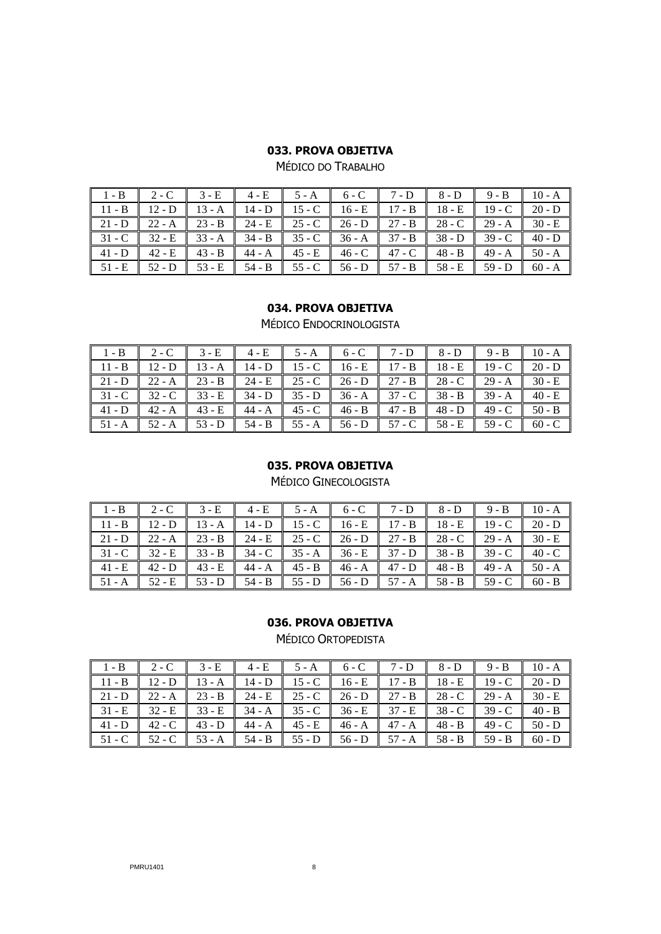MÉDICO DO TRABALHO

| $1-B$ 2-C 3-E 4-E 5-A 6-C 7-D 8-D 9-B 10-A                                                     |  |                                                                                         |  |  |  |
|------------------------------------------------------------------------------------------------|--|-----------------------------------------------------------------------------------------|--|--|--|
| 11 - B   12 - D   13 - A    14 - D    15 - C    16 - E    17 - B    18 - E    19 - C    20 - D |  |                                                                                         |  |  |  |
|                                                                                                |  |                                                                                         |  |  |  |
|                                                                                                |  |                                                                                         |  |  |  |
|                                                                                                |  | 41 - D   42 - E   43 - B   44 - A   45 - E   46 - C   47 - C   48 - B   49 - A   50 - A |  |  |  |
|                                                                                                |  |                                                                                         |  |  |  |

# **034. PROVA OBJETIVA**

MÉDICO ENDOCRINOLOGISTA

| $\parallel$ 1-B $\parallel$ 2-C $\parallel$ 3-E $\parallel$ 4-E $\parallel$ 5-A $\parallel$ 6-C $\parallel$ 7-D $\parallel$ 8-D $\parallel$ 9-B $\parallel$ 10-A                              |  |  |  |  |  |
|-----------------------------------------------------------------------------------------------------------------------------------------------------------------------------------------------|--|--|--|--|--|
| 11 - B    12 - D    13 - A    14 - D    15 - C    16 - E    17 - B    18 - E    19 - C    20 - D                                                                                              |  |  |  |  |  |
| 21 - D   22 - A   23 - B   24 - E   25 - C   26 - D   27 - B   28 - C   29 - A   30 - E                                                                                                       |  |  |  |  |  |
| 31 - C    32 - C    33 - E    34 - D    35 - D    36 - A    37 - C    38 - B    39 - A    40 - E                                                                                              |  |  |  |  |  |
|                                                                                                                                                                                               |  |  |  |  |  |
| $\parallel$ 51 - A $\parallel$ 52 - A $\parallel$ 53 - D $\parallel$ 54 - B $\parallel$ 55 - A $\parallel$ 56 - D $\parallel$ 57 - C $\parallel$ 58 - E $\parallel$ 59 - C $\parallel$ 60 - C |  |  |  |  |  |

### **035. PROVA OBJETIVA**

MÉDICO GINECOLOGISTA

| $\parallel$ 1-B $\parallel$ 2-C $\parallel$ 3-E $\parallel$ 4-E $\parallel$ 5-A $\parallel$ 6-C $\parallel$ 7-D $\parallel$ 8-D $\parallel$ 9-B $\parallel$ 10-A |  |  |  |  |  |
|------------------------------------------------------------------------------------------------------------------------------------------------------------------|--|--|--|--|--|
| 11 - B    12 - D    13 - A    14 - D    15 - C    16 - E    17 - B    18 - E    19 - C    20 - D                                                                 |  |  |  |  |  |
| 21 - D   22 - A   23 - B   24 - E   25 - C   26 - D   27 - B   28 - C   29 - A   30 - E                                                                          |  |  |  |  |  |
| 31 - C    32 - E    33 - B    34 - C    35 - A    36 - E    37 - D    38 - B    39 - C    40 - C                                                                 |  |  |  |  |  |
| 41 - E   42 - D   43 - E    44 - A    45 - B    46 - A    47 - D    48 - B    49 - A    50 - A                                                                   |  |  |  |  |  |
| 51 - A    52 - E    53 - D    54 - B    55 - D    56 - D    57 - A    58 - B    59 - C    60 - B                                                                 |  |  |  |  |  |

### **036. PROVA OBJETIVA**

MÉDICO ORTOPEDISTA

| 1 - B   2 - C   3 - E    4 - E    5 - A    6 - C    7 - D    8 - D    9 - B    10 - A                                                                                                         |  |  |  |  |
|-----------------------------------------------------------------------------------------------------------------------------------------------------------------------------------------------|--|--|--|--|
| 11 - B    12 - D    13 - A    14 - D    15 - C    16 - E    17 - B    18 - E    19 - C    20 - D                                                                                              |  |  |  |  |
| $\parallel$ 21 - D $\parallel$ 22 - A $\parallel$ 23 - B $\parallel$ 24 - E $\parallel$ 25 - C $\parallel$ 26 - D $\parallel$ 27 - B $\parallel$ 28 - C $\parallel$ 29 - A $\parallel$ 30 - E |  |  |  |  |
| 31 - E    32 - E    33 - E    34 - A    35 - C    36 - E    37 - E    38 - C    39 - C    40 - B                                                                                              |  |  |  |  |
|                                                                                                                                                                                               |  |  |  |  |
| 51 - C    52 - C    53 - A    54 - B    55 - D    56 - D    57 - A    58 - B    59 - B    60 - D                                                                                              |  |  |  |  |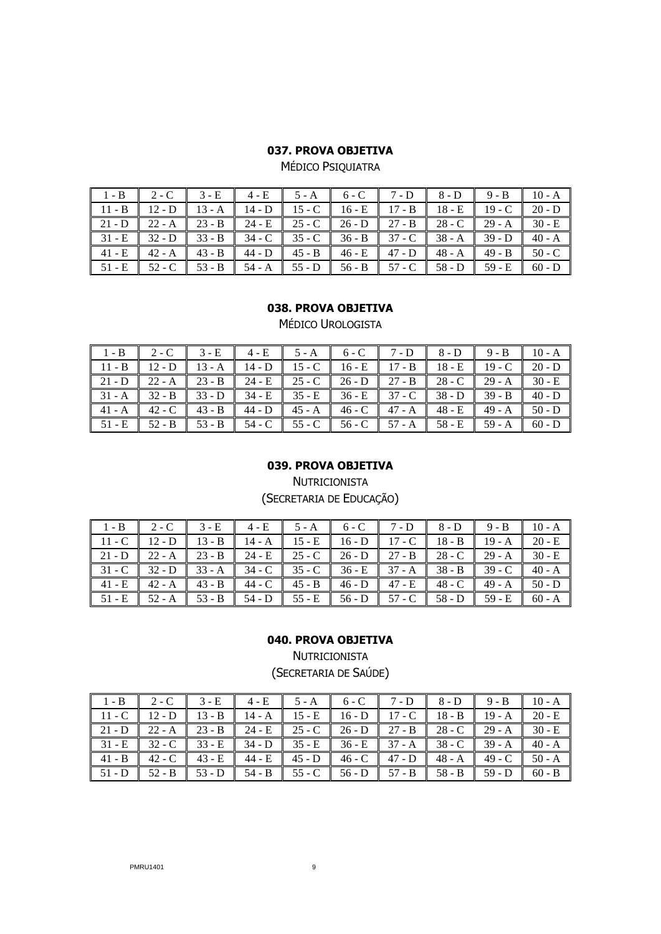MÉDICO PSIQUIATRA

| $1-B$ 2-C 3-E 4-E 5-A 6-C 7-D 8-D 9-B 10-A                                                                                                                                                    |                                                                                           |  |  |  |  |
|-----------------------------------------------------------------------------------------------------------------------------------------------------------------------------------------------|-------------------------------------------------------------------------------------------|--|--|--|--|
| 11 - B   12 - D   13 - A    14 - D    15 - C    16 - E    17 - B    18 - E    19 - C    20 - D                                                                                                |                                                                                           |  |  |  |  |
|                                                                                                                                                                                               |                                                                                           |  |  |  |  |
| $\parallel$ 31 - E $\parallel$ 32 - D $\parallel$ 33 - B $\parallel$ 34 - C $\parallel$ 35 - C $\parallel$ 36 - B $\parallel$ 37 - C $\parallel$ 38 - A $\parallel$ 39 - D $\parallel$ 40 - A |                                                                                           |  |  |  |  |
|                                                                                                                                                                                               | $41 - E$ $42 - A$ $43 - B$ $44 - D$ $45 - B$ $46 - E$ $47 - D$ $48 - A$ $49 - B$ $50 - C$ |  |  |  |  |
|                                                                                                                                                                                               |                                                                                           |  |  |  |  |

### **038. PROVA OBJETIVA**

MÉDICO UROLOGISTA

| 1 - B   2 - C   3 - E    4 - E    5 - A    6 - C    7 - D    8 - D    9 - B    10 - A                                                                                                         |  |  |  |  |  |
|-----------------------------------------------------------------------------------------------------------------------------------------------------------------------------------------------|--|--|--|--|--|
| 11 - B    12 - D    13 - A    14 - D    15 - C    16 - E    17 - B    18 - E    19 - C    20 - D                                                                                              |  |  |  |  |  |
| 21 - D   22 - A   23 - B   24 - E   25 - C   26 - D   27 - B   28 - C   29 - A   30 - E                                                                                                       |  |  |  |  |  |
| $\parallel$ 31 - A $\parallel$ 32 - B $\parallel$ 33 - D $\parallel$ 34 - E $\parallel$ 35 - E $\parallel$ 36 - E $\parallel$ 37 - C $\parallel$ 38 - D $\parallel$ 39 - B $\parallel$ 40 - D |  |  |  |  |  |
|                                                                                                                                                                                               |  |  |  |  |  |
| $\parallel$ 51 - E $\parallel$ 52 - B $\parallel$ 53 - B $\parallel$ 54 - C $\parallel$ 55 - C $\parallel$ 56 - C $\parallel$ 57 - A $\parallel$ 58 - E $\parallel$ 59 - A $\parallel$ 60 - D |  |  |  |  |  |

#### **039. PROVA OBJETIVA**

**NUTRICIONISTA** (SECRETARIA DE EDUCAÇÃO)

| $1-B$ 2-C 3-E 4-E 5-A 6-C 7-D 8-D 9-B 10-A                                                                                                                                                    |  |  |  |  |  |
|-----------------------------------------------------------------------------------------------------------------------------------------------------------------------------------------------|--|--|--|--|--|
| $11 - C$ 12 - D 13 - B 14 - A 15 - E 16 - D 17 - C 18 - B 19 - A 20 - E                                                                                                                       |  |  |  |  |  |
| 21 - D   22 - A   23 - B   24 - E   25 - C   26 - D   27 - B   28 - C   29 - A   30 - E                                                                                                       |  |  |  |  |  |
| 31 - C    32 - D    33 - A    34 - C    35 - C    36 - E    37 - A    38 - B    39 - C    40 - A                                                                                              |  |  |  |  |  |
|                                                                                                                                                                                               |  |  |  |  |  |
| $\parallel$ 51 - E $\parallel$ 52 - A $\parallel$ 53 - B $\parallel$ 54 - D $\parallel$ 55 - E $\parallel$ 56 - D $\parallel$ 57 - C $\parallel$ 58 - D $\parallel$ 59 - E $\parallel$ 60 - A |  |  |  |  |  |

## **040. PROVA OBJETIVA**

NUTRICIONISTA (SECRETARIA DE SAÚDE)

|  | 1 - B $\vert$ 2 - C $\vert$ 3 - E $\vert$ 4 - E $\vert$ 5 - A $\vert$ 6 - C $\vert$ 7 - D $\vert$ 8 - D $\vert$ 9 - B $\vert$ 10 - A                                              |  |  |  |
|--|-----------------------------------------------------------------------------------------------------------------------------------------------------------------------------------|--|--|--|
|  | 11 - C $\parallel$ 12 - D $\parallel$ 13 - B $\parallel$ 14 - A $\parallel$ 15 - E $\parallel$ 16 - D $\parallel$ 17 - C $\parallel$ 18 - B $\parallel$ 19 - A $\parallel$ 20 - E |  |  |  |
|  | $\boxed{21 - D}$ $\boxed{22 - A}$ $\boxed{23 - B}$ $\boxed{24 - E}$ $\boxed{25 - C}$ $\boxed{26 - D}$ $\boxed{27 - B}$ $\boxed{28 - C}$ $\boxed{29 - A}$ $\boxed{30 - E}$         |  |  |  |
|  | $31 - E$ 32 - C 33 - E 34 - D 35 - E 36 - E 37 - A 38 - C 39 - A 40 - A                                                                                                           |  |  |  |
|  | $-41 - B$ $-42 - C$ $-43 - E$ $-44 - E$ $-45 - D$ $-46 - C$ $-47 - D$ $-48 - A$ $-49 - C$ $-50 - A$                                                                               |  |  |  |
|  | 51 - D   52 - B   53 - D   54 - B   55 - C   56 - D   57 - B   58 - B   59 - D   60 - B                                                                                           |  |  |  |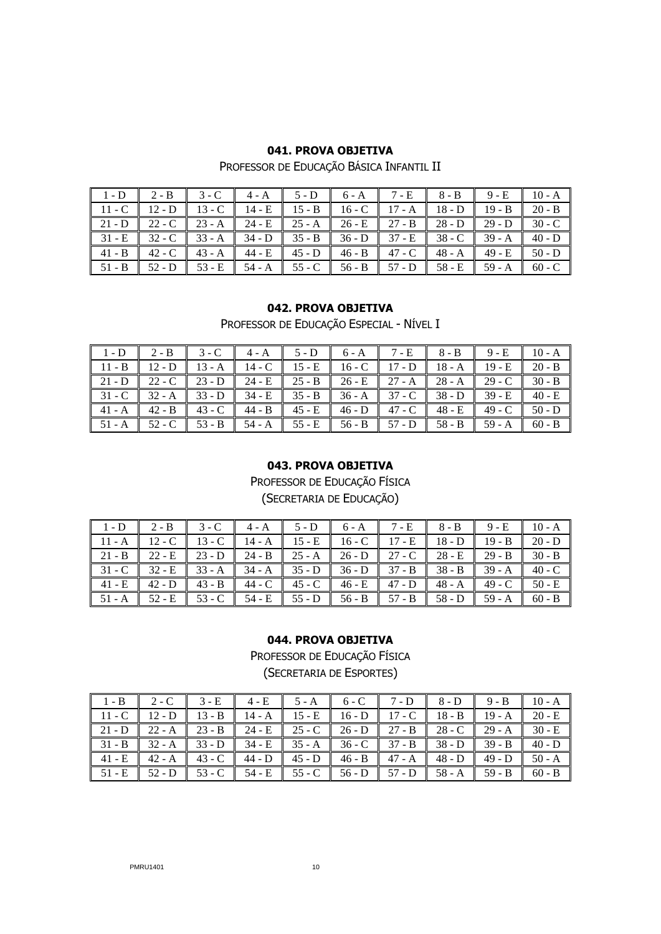PROFESSOR DE EDUCAÇÃO BÁSICA INFANTIL II

| $1-D$ 2-B 3-C 4-A 5-D 6-A 7-E 8-B 9-E 10-A                              |  |  |  |  |  |
|-------------------------------------------------------------------------|--|--|--|--|--|
| $11 - C$ 12 - D 13 - C 14 - E 15 - B 16 - C 17 - A 18 - D 19 - B 20 - B |  |  |  |  |  |
|                                                                         |  |  |  |  |  |
| $31 - E$ 32 - C 33 - A 34 - D 35 - B 36 - D 37 - E 38 - C 39 - A 40 - D |  |  |  |  |  |
|                                                                         |  |  |  |  |  |
|                                                                         |  |  |  |  |  |

### **042. PROVA OBJETIVA**

PROFESSOR DE EDUCAÇÃO ESPECIAL - NÍVEL I

| $1-D$ 2-B 3-C 4-A 5-D 6-A 7-E 8-B 9-E 10-A                                                                                                                                                    |                                                                                                                                                                                               |  |  |  |  |
|-----------------------------------------------------------------------------------------------------------------------------------------------------------------------------------------------|-----------------------------------------------------------------------------------------------------------------------------------------------------------------------------------------------|--|--|--|--|
| $11 - B$ 12 - D 13 - A 14 - C 15 - E 16 - C 17 - D 18 - A 19 - E 20 - B                                                                                                                       |                                                                                                                                                                                               |  |  |  |  |
| 21 - D   22 - C   23 - D   24 - E   25 - B   26 - E   27 - A   28 - A   29 - C   30 - B                                                                                                       |                                                                                                                                                                                               |  |  |  |  |
| $\parallel$ 31 - C $\parallel$ 32 - A $\parallel$ 33 - D $\parallel$ 34 - E $\parallel$ 35 - B $\parallel$ 36 - A $\parallel$ 37 - C $\parallel$ 38 - D $\parallel$ 39 - E $\parallel$ 40 - E |                                                                                                                                                                                               |  |  |  |  |
|                                                                                                                                                                                               |                                                                                                                                                                                               |  |  |  |  |
|                                                                                                                                                                                               | $\parallel$ 51 - A $\parallel$ 52 - C $\parallel$ 53 - B $\parallel$ 54 - A $\parallel$ 55 - E $\parallel$ 56 - B $\parallel$ 57 - D $\parallel$ 58 - B $\parallel$ 59 - A $\parallel$ 60 - B |  |  |  |  |

### **043. PROVA OBJETIVA**

PROFESSOR DE EDUCAÇÃO FÍSICA

(SECRETARIA DE EDUCAÇÃO)

| 1 - D   2 - B   3 - C   4 - A   5 - D   6 - A    7 - E    8 - B    9 - E    10 - A                                                                                                            |                                                                                                                                                                                               |  |  |  |  |
|-----------------------------------------------------------------------------------------------------------------------------------------------------------------------------------------------|-----------------------------------------------------------------------------------------------------------------------------------------------------------------------------------------------|--|--|--|--|
| $\parallel$ 11 - A $\parallel$ 12 - C $\parallel$ 13 - C $\parallel$ 14 - A $\parallel$ 15 - E $\parallel$ 16 - C $\parallel$ 17 - E $\parallel$ 18 - D $\parallel$ 19 - B $\parallel$ 20 - D |                                                                                                                                                                                               |  |  |  |  |
|                                                                                                                                                                                               | 21 - B   22 - E   23 - D   24 - B   25 - A   26 - D   27 - C   28 - E   29 - B   30 - B                                                                                                       |  |  |  |  |
|                                                                                                                                                                                               | $\parallel$ 31 - C $\parallel$ 32 - E $\parallel$ 33 - A $\parallel$ 34 - A $\parallel$ 35 - D $\parallel$ 36 - D $\parallel$ 37 - B $\parallel$ 38 - B $\parallel$ 39 - A $\parallel$ 40 - C |  |  |  |  |
|                                                                                                                                                                                               | $\parallel$ 41 - E $\parallel$ 42 - D $\parallel$ 43 - B $\parallel$ 44 - C $\parallel$ 45 - C $\parallel$ 46 - E $\parallel$ 47 - D $\parallel$ 48 - A $\parallel$ 49 - C $\parallel$ 50 - E |  |  |  |  |
|                                                                                                                                                                                               | 51 - A    52 - E    53 - C    54 - E    55 - D    56 - B    57 - B    58 - D    59 - A    60 - B                                                                                              |  |  |  |  |

# **044. PROVA OBJETIVA**

PROFESSOR DE EDUCAÇÃO FÍSICA

(SECRETARIA DE ESPORTES)

|                    | $1 - B$ 2-C 3-E $\parallel$ |        |                        | $4-E$ 5-A 6-C 7-D 1                                                                    | $8-D$ 9-B 10-A  |                                                                                                                                      |
|--------------------|-----------------------------|--------|------------------------|----------------------------------------------------------------------------------------|-----------------|--------------------------------------------------------------------------------------------------------------------------------------|
|                    |                             |        |                        | 11 - C   12 - D   13 - B   14 - A   15 - E   16 - D   17 - C   18 - B   19 - A         |                 | $20 - E$                                                                                                                             |
|                    |                             |        |                        | 21 - D   22 - A   23 - B   24 - E   25 - C   26 - D   27 - B   28 - C   29 - A         |                 | $30 - E$                                                                                                                             |
|                    |                             |        |                        | 31 - B    32 - A    33 - D    34 - E    35 - A    36 - C    37 - B    38 - D    39 - B |                 | $40 - D$                                                                                                                             |
| $\parallel$ 41 - E | $42 - A$                    | 43 - C | $44 - D$ 45 - D 46 - B | $47 - A$                                                                               | $48 - D$ 49 - D | $50 - A$                                                                                                                             |
|                    | $51 - E$ $52 - D$ $53 - C$  |        |                        |                                                                                        |                 | 54 - E $\parallel$ 55 - C $\parallel$ 56 - D $\parallel$ 57 - D $\parallel$ 58 - A $\parallel$ 59 - B $\parallel$ 60 - B $\parallel$ |